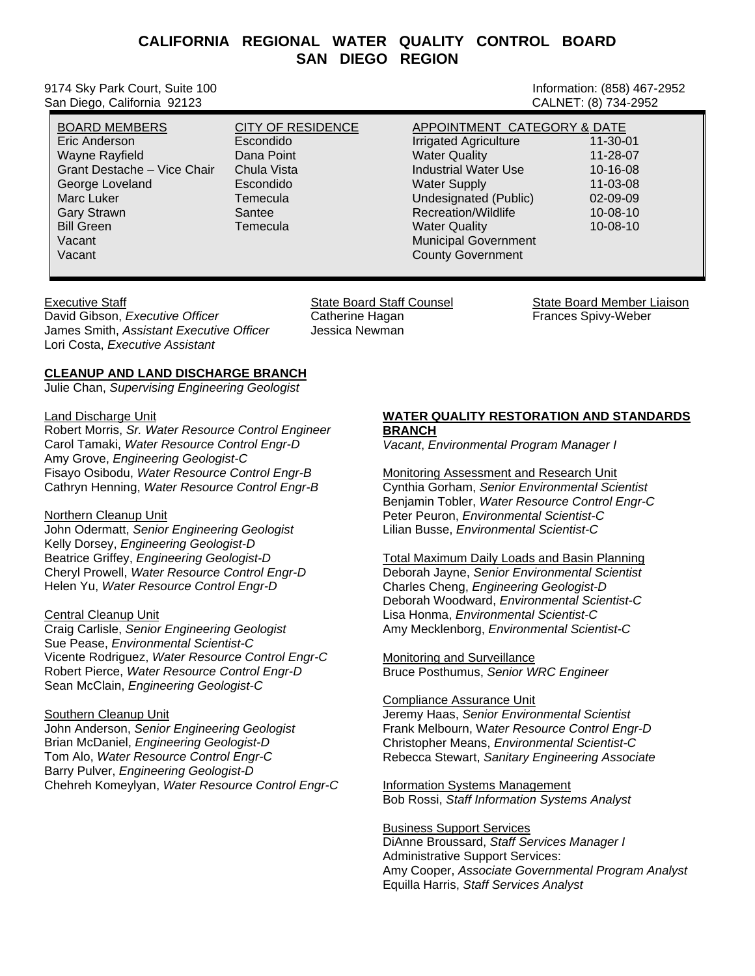# **CALIFORNIA REGIONAL WATER QUALITY CONTROL BOARD SAN DIEGO REGION**

9174 Sky Park Court, Suite 100 Information: (858) 467-2952 San Diego, California 92123

| <b>CITY OF RESIDENCE</b> | APPOINTMENT CATEGORY & DATE  |                |
|--------------------------|------------------------------|----------------|
| Escondido                | <b>Irrigated Agriculture</b> | $11 - 30 - 01$ |
| Dana Point               | <b>Water Quality</b>         | 11-28-07       |
| Chula Vista              | <b>Industrial Water Use</b>  | 10-16-08       |
| Escondido                | <b>Water Supply</b>          | 11-03-08       |
| Temecula                 | Undesignated (Public)        | $02 - 09 - 09$ |
| Santee                   | Recreation/Wildlife          | $10 - 08 - 10$ |
| Temecula                 | <b>Water Quality</b>         | $10 - 08 - 10$ |
|                          | <b>Municipal Government</b>  |                |
|                          | <b>County Government</b>     |                |
|                          |                              |                |

David Gibson, *Executive Officer* **Catherine Hagan** Frances Spivy-Weber James Smith, *Assistant Executive Officer* Jessica Newman Lori Costa, *Executive Assistant*

Executive Staff State State State Board State Board State Counsel State Board Member Liaison

# **CLEANUP AND LAND DISCHARGE BRANCH**

Julie Chan, *Supervising Engineering Geologist*

#### Land Discharge Unit

Robert Morris, *Sr. Water Resource Control Engineer* Carol Tamaki, *Water Resource Control Engr-D* Amy Grove, *Engineering Geologist-C*  Fisayo Osibodu, *Water Resource Control Engr-B* Cathryn Henning, *Water Resource Control Engr-B*

# Northern Cleanup Unit

John Odermatt, *Senior Engineering Geologist* Kelly Dorsey, *Engineering Geologist-D*  Beatrice Griffey, *Engineering Geologist-D* Cheryl Prowell, *Water Resource Control Engr-D* Helen Yu, *Water Resource Control Engr-D*

# Central Cleanup Unit

Craig Carlisle, *Senior Engineering Geologist* Sue Pease, *Environmental Scientist-C* Vicente Rodriguez, *Water Resource Control Engr-C*  Robert Pierce, *Water Resource Control Engr-D* Sean McClain, *Engineering Geologist-C*

# Southern Cleanup Unit

John Anderson, *Senior Engineering Geologist* Brian McDaniel, *Engineering Geologist-D* Tom Alo, *Water Resource Control Engr-C*  Barry Pulver, *Engineering Geologist-D* Chehreh Komeylyan, *Water Resource Control Engr-C*

# **WATER QUALITY RESTORATION AND STANDARDS BRANCH**

*Vacant*, *Environmental Program Manager I*

Monitoring Assessment and Research Unit *cientist* Cynthia Gorham, *Senior Environmental S* Benjamin Tobler, *Water Resource Control Engr-C* Peter Peuron, *Environmental Scientist-C* Lilian Busse, *Environmental Scientist-C*

Total Maximum Daily Loads and Basin Planning Deborah Jayne, *Senior Environmental Scientist* eborah Woodward, *Environmental Scientist-C* D *cientist-C*  Lisa Honma, *Environmental S t-C* Amy Mecklenborg, *Environmental Scientis* Charles Cheng, *Engineering Geologist-D*

Monitoring and Surveillance Bruce Posthumus, *Senior WRC Engineer*

# Compliance Assurance Unit

Jeremy Haas, *Senior Environmental Scientist* Frank Melbourn, W*ater Resource Control Engr-D Scientist-C*  Christopher Means, *Environmental*  **Rebecca Stewart, Sanitary Engineering Associate** 

**Information Systems Management** Bob Rossi, *Staff Information Systems Analyst*

Business Support Services DiAnne Broussard, *Staff Services Manager I* Amy Cooper, *Associate Governmental Program Analyst* quilla Harris, *Staff Services Analyst*  EAdministrative Support Services: